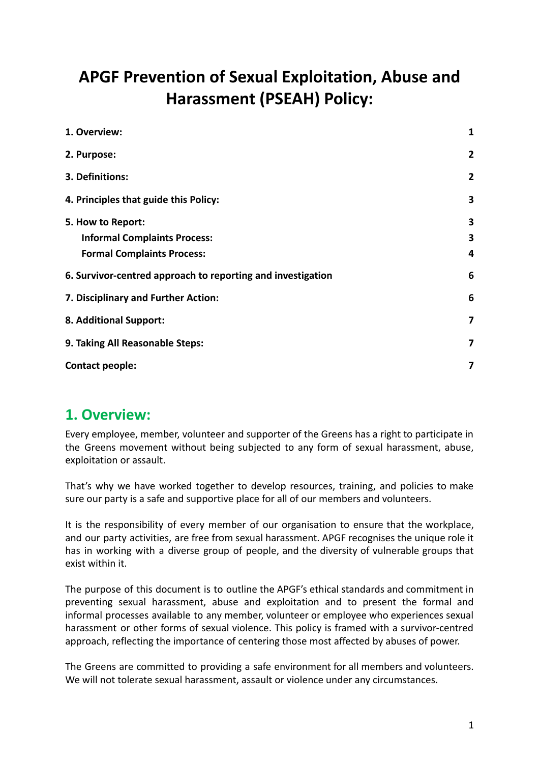# **APGF Prevention of Sexual Exploitation, Abuse and Harassment (PSEAH) Policy:**

| 1. Overview:                                                | 1              |
|-------------------------------------------------------------|----------------|
| 2. Purpose:                                                 | $\overline{2}$ |
| 3. Definitions:                                             | $\overline{2}$ |
| 4. Principles that guide this Policy:                       | 3              |
| 5. How to Report:                                           | 3              |
| <b>Informal Complaints Process:</b>                         | 3              |
| <b>Formal Complaints Process:</b>                           | 4              |
| 6. Survivor-centred approach to reporting and investigation | 6              |
| 7. Disciplinary and Further Action:                         | 6              |
| 8. Additional Support:                                      | 7              |
| 9. Taking All Reasonable Steps:                             | $\overline{7}$ |
| <b>Contact people:</b>                                      | 7              |

### <span id="page-0-0"></span>**1. Overview:**

Every employee, member, volunteer and supporter of the Greens has a right to participate in the Greens movement without being subjected to any form of sexual harassment, abuse, exploitation or assault.

That's why we have worked together to develop resources, training, and policies to make sure our party is a safe and supportive place for all of our members and volunteers.

It is the responsibility of every member of our organisation to ensure that the workplace, and our party activities, are free from sexual harassment. APGF recognises the unique role it has in working with a diverse group of people, and the diversity of vulnerable groups that exist within it.

The purpose of this document is to outline the APGF's ethical standards and commitment in preventing sexual harassment, abuse and exploitation and to present the formal and informal processes available to any member, volunteer or employee who experiences sexual harassment or other forms of sexual violence. This policy is framed with a survivor-centred approach, reflecting the importance of centering those most affected by abuses of power.

The Greens are committed to providing a safe environment for all members and volunteers. We will not tolerate sexual harassment, assault or violence under any circumstances.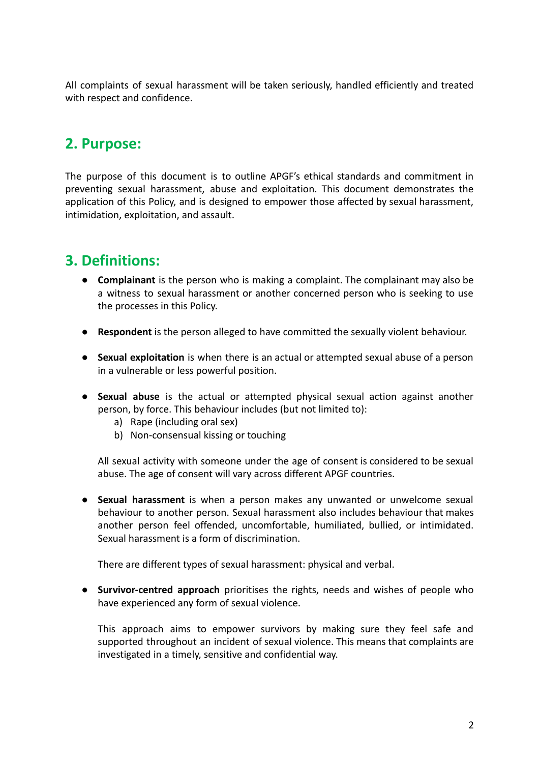All complaints of sexual harassment will be taken seriously, handled efficiently and treated with respect and confidence.

### <span id="page-1-0"></span>**2. Purpose:**

The purpose of this document is to outline APGF's ethical standards and commitment in preventing sexual harassment, abuse and exploitation. This document demonstrates the application of this Policy, and is designed to empower those affected by sexual harassment, intimidation, exploitation, and assault.

# <span id="page-1-1"></span>**3. Definitions:**

- **Complainant** is the person who is making a complaint. The complainant may also be a witness to sexual harassment or another concerned person who is seeking to use the processes in this Policy.
- **Respondent** is the person alleged to have committed the sexually violent behaviour.
- **Sexual exploitation** is when there is an actual or attempted sexual abuse of a person in a vulnerable or less powerful position.
- **● Sexual abuse** is the actual or attempted physical sexual action against another person, by force. This behaviour includes (but not limited to):
	- a) Rape (including oral sex)
	- b) Non-consensual kissing or touching

All sexual activity with someone under the age of consent is considered to be sexual abuse. The age of consent will vary across different APGF countries.

● **Sexual harassment** is when a person makes any unwanted or unwelcome sexual behaviour to another person. Sexual harassment also includes behaviour that makes another person feel offended, uncomfortable, humiliated, bullied, or intimidated. Sexual harassment is a form of discrimination.

There are different types of sexual harassment: physical and verbal.

**● Survivor-centred approach** prioritises the rights, needs and wishes of people who have experienced any form of sexual violence.

This approach aims to empower survivors by making sure they feel safe and supported throughout an incident of sexual violence. This means that complaints are investigated in a timely, sensitive and confidential way.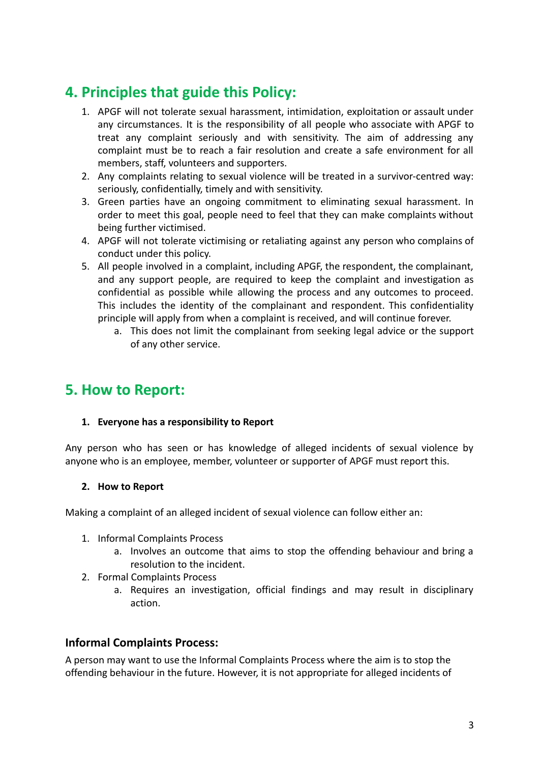# <span id="page-2-0"></span>**4. Principles that guide this Policy:**

- 1. APGF will not tolerate sexual harassment, intimidation, exploitation or assault under any circumstances. It is the responsibility of all people who associate with APGF to treat any complaint seriously and with sensitivity. The aim of addressing any complaint must be to reach a fair resolution and create a safe environment for all members, staff, volunteers and supporters.
- 2. Any complaints relating to sexual violence will be treated in a survivor-centred way: seriously, confidentially, timely and with sensitivity.
- 3. Green parties have an ongoing commitment to eliminating sexual harassment. In order to meet this goal, people need to feel that they can make complaints without being further victimised.
- 4. APGF will not tolerate victimising or retaliating against any person who complains of conduct under this policy.
- 5. All people involved in a complaint, including APGF, the respondent, the complainant, and any support people, are required to keep the complaint and investigation as confidential as possible while allowing the process and any outcomes to proceed. This includes the identity of the complainant and respondent. This confidentiality principle will apply from when a complaint is received, and will continue forever.
	- a. This does not limit the complainant from seeking legal advice or the support of any other service.

### <span id="page-2-1"></span>**5. How to Report:**

#### **1. Everyone has a responsibility to Report**

Any person who has seen or has knowledge of alleged incidents of sexual violence by anyone who is an employee, member, volunteer or supporter of APGF must report this.

#### **2. How to Report**

Making a complaint of an alleged incident of sexual violence can follow either an:

- 1. Informal Complaints Process
	- a. Involves an outcome that aims to stop the offending behaviour and bring a resolution to the incident.
- 2. Formal Complaints Process
	- a. Requires an investigation, official findings and may result in disciplinary action.

#### <span id="page-2-2"></span>**Informal Complaints Process:**

A person may want to use the Informal Complaints Process where the aim is to stop the offending behaviour in the future. However, it is not appropriate for alleged incidents of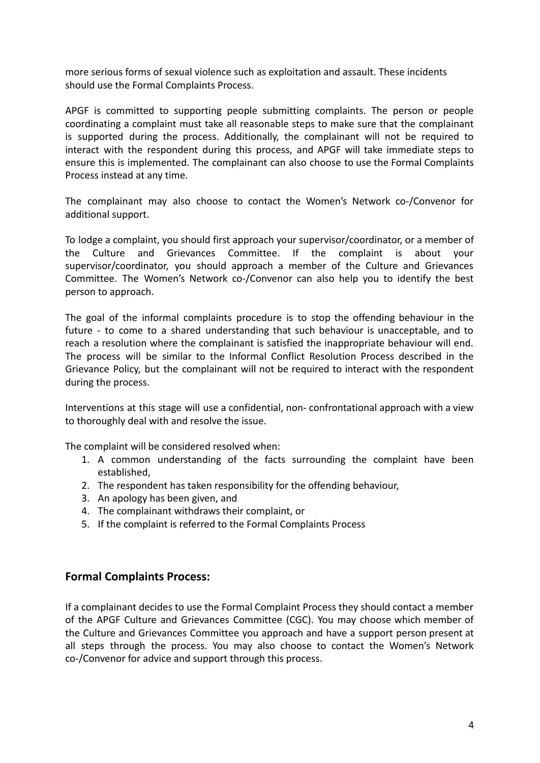more serious forms of sexual violence such as exploitation and assault. These incidents should use the Formal Complaints Process.

APGF is committed to supporting people submitting complaints. The person or people coordinating a complaint must take all reasonable steps to make sure that the complainant is supported during the process. Additionally, the complainant will not be required to interact with the respondent during this process, and APGF will take immediate steps to ensure this is implemented. The complainant can also choose to use the Formal Complaints Process instead at any time.

The complainant may also choose to contact the Women's Network co-/Convenor for additional support.

To lodge a complaint, you should first approach your supervisor/coordinator, or a member of the Culture and Grievances Committee. If the complaint is about your supervisor/coordinator, you should approach a member of the Culture and Grievances Committee. The Women's Network co-/Convenor can also help you to identify the best person to approach.

The goal of the informal complaints procedure is to stop the offending behaviour in the future - to come to a shared understanding that such behaviour is unacceptable, and to reach a resolution where the complainant is satisfied the inappropriate behaviour will end. The process will be similar to the Informal Conflict Resolution Process described in the Grievance Policy, but the complainant will not be required to interact with the respondent during the process.

Interventions at this stage will use a confidential, non- confrontational approach with a view to thoroughly deal with and resolve the issue.

The complaint will be considered resolved when:

- 1. A common understanding of the facts surrounding the complaint have been established,
- 2. The respondent has taken responsibility for the offending behaviour,
- 3. An apology has been given, and
- 4. The complainant withdraws their complaint, or
- 5. If the complaint is referred to the Formal Complaints Process

#### <span id="page-3-0"></span>**Formal Complaints Process:**

If a complainant decides to use the Formal Complaint Process they should contact a member of the APGF Culture and Grievances Committee (CGC). You may choose which member of the Culture and Grievances Committee you approach and have a support person present at all steps through the process. You may also choose to contact the Women's Network co-/Convenor for advice and support through this process.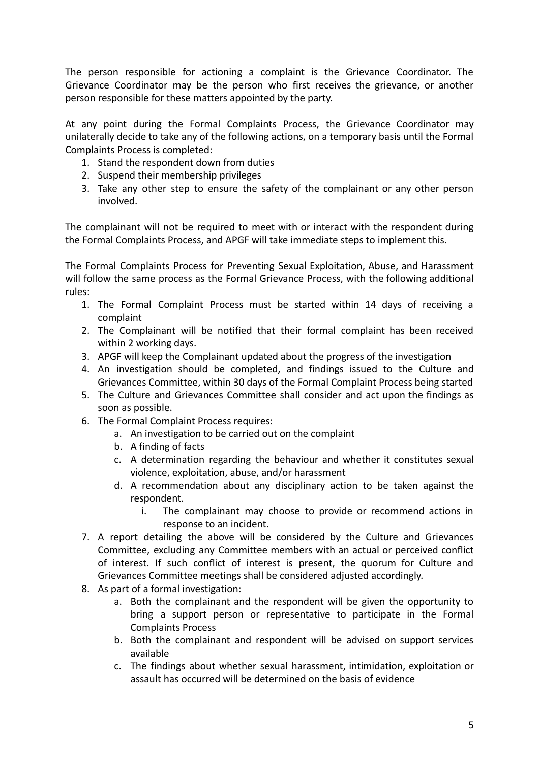The person responsible for actioning a complaint is the Grievance Coordinator. The Grievance Coordinator may be the person who first receives the grievance, or another person responsible for these matters appointed by the party.

At any point during the Formal Complaints Process, the Grievance Coordinator may unilaterally decide to take any of the following actions, on a temporary basis until the Formal Complaints Process is completed:

- 1. Stand the respondent down from duties
- 2. Suspend their membership privileges
- 3. Take any other step to ensure the safety of the complainant or any other person involved.

The complainant will not be required to meet with or interact with the respondent during the Formal Complaints Process, and APGF will take immediate steps to implement this.

The Formal Complaints Process for Preventing Sexual Exploitation, Abuse, and Harassment will follow the same process as the Formal Grievance Process, with the following additional rules:

- 1. The Formal Complaint Process must be started within 14 days of receiving a complaint
- 2. The Complainant will be notified that their formal complaint has been received within 2 working days.
- 3. APGF will keep the Complainant updated about the progress of the investigation
- 4. An investigation should be completed, and findings issued to the Culture and Grievances Committee, within 30 days of the Formal Complaint Process being started
- 5. The Culture and Grievances Committee shall consider and act upon the findings as soon as possible.
- 6. The Formal Complaint Process requires:
	- a. An investigation to be carried out on the complaint
	- b. A finding of facts
	- c. A determination regarding the behaviour and whether it constitutes sexual violence, exploitation, abuse, and/or harassment
	- d. A recommendation about any disciplinary action to be taken against the respondent.
		- i. The complainant may choose to provide or recommend actions in response to an incident.
- 7. A report detailing the above will be considered by the Culture and Grievances Committee, excluding any Committee members with an actual or perceived conflict of interest. If such conflict of interest is present, the quorum for Culture and Grievances Committee meetings shall be considered adjusted accordingly.
- 8. As part of a formal investigation:
	- a. Both the complainant and the respondent will be given the opportunity to bring a support person or representative to participate in the Formal Complaints Process
	- b. Both the complainant and respondent will be advised on support services available
	- c. The findings about whether sexual harassment, intimidation, exploitation or assault has occurred will be determined on the basis of evidence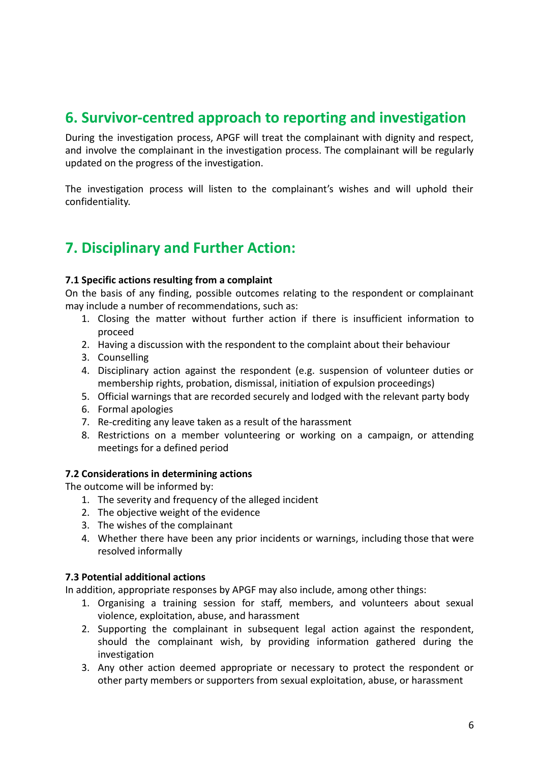### <span id="page-5-0"></span>**6. Survivor-centred approach to reporting and investigation**

During the investigation process, APGF will treat the complainant with dignity and respect, and involve the complainant in the investigation process. The complainant will be regularly updated on the progress of the investigation.

The investigation process will listen to the complainant's wishes and will uphold their confidentiality.

# <span id="page-5-1"></span>**7. Disciplinary and Further Action:**

#### **7.1 Specific actions resulting from a complaint**

On the basis of any finding, possible outcomes relating to the respondent or complainant may include a number of recommendations, such as:

- 1. Closing the matter without further action if there is insufficient information to proceed
- 2. Having a discussion with the respondent to the complaint about their behaviour
- 3. Counselling
- 4. Disciplinary action against the respondent (e.g. suspension of volunteer duties or membership rights, probation, dismissal, initiation of expulsion proceedings)
- 5. Official warnings that are recorded securely and lodged with the relevant party body
- 6. Formal apologies
- 7. Re-crediting any leave taken as a result of the harassment
- 8. Restrictions on a member volunteering or working on a campaign, or attending meetings for a defined period

#### **7.2 Considerations in determining actions**

The outcome will be informed by:

- 1. The severity and frequency of the alleged incident
- 2. The objective weight of the evidence
- 3. The wishes of the complainant
- 4. Whether there have been any prior incidents or warnings, including those that were resolved informally

#### **7.3 Potential additional actions**

In addition, appropriate responses by APGF may also include, among other things:

- 1. Organising a training session for staff, members, and volunteers about sexual violence, exploitation, abuse, and harassment
- 2. Supporting the complainant in subsequent legal action against the respondent, should the complainant wish, by providing information gathered during the investigation
- 3. Any other action deemed appropriate or necessary to protect the respondent or other party members or supporters from sexual exploitation, abuse, or harassment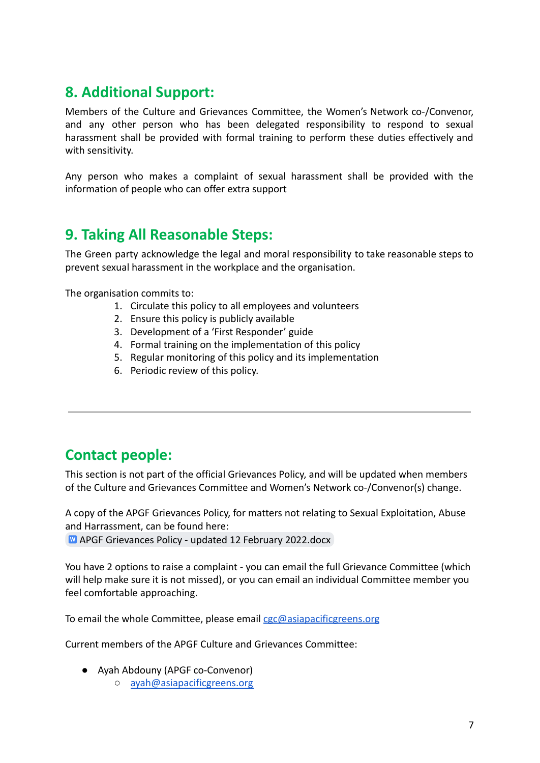# <span id="page-6-0"></span>**8. Additional Support:**

Members of the Culture and Grievances Committee, the Women's Network co-/Convenor, and any other person who has been delegated responsibility to respond to sexual harassment shall be provided with formal training to perform these duties effectively and with sensitivity.

Any person who makes a complaint of sexual harassment shall be provided with the information of people who can offer extra support

# <span id="page-6-1"></span>**9. Taking All Reasonable Steps:**

The Green party acknowledge the legal and moral responsibility to take reasonable steps to prevent sexual harassment in the workplace and the organisation.

The organisation commits to:

- 1. Circulate this policy to all employees and volunteers
- 2. Ensure this policy is publicly available
- 3. Development of a 'First Responder' guide
- 4. Formal training on the implementation of this policy
- 5. Regular monitoring of this policy and its implementation
- 6. Periodic review of this policy.

### <span id="page-6-2"></span>**Contact people:**

feel comfortable approaching.

This section is not part of the official Grievances Policy, and will be updated when members of the Culture and Grievances Committee and Women's Network co-/Convenor(s) change.

A copy of the APGF Grievances Policy, for matters not relating to Sexual Exploitation, Abuse and Harrassment, can be found here: M [APGF Grievances Policy - updated 12 February 2022.docx](https://docs.google.com/document/d/1ipGaSJ-W28P2ztNXGUnPmyyTH49MspCh/edit?usp=sharing&ouid=114047749988025436355&rtpof=true&sd=true)

You have 2 options to raise a complaint - you can email the full Grievance Committee (which will help make sure it is not missed), or you can email an individual Committee member you

To email the whole Committee, please email [cgc@asiapacificgreens.org](mailto:cgc@asiapacificgreens.org)

Current members of the APGF Culture and Grievances Committee:

- Ayah Abdouny (APGF co-Convenor)
	- [ayah@asiapacificgreens.org](mailto:ayah@asiapacificgreens.org)